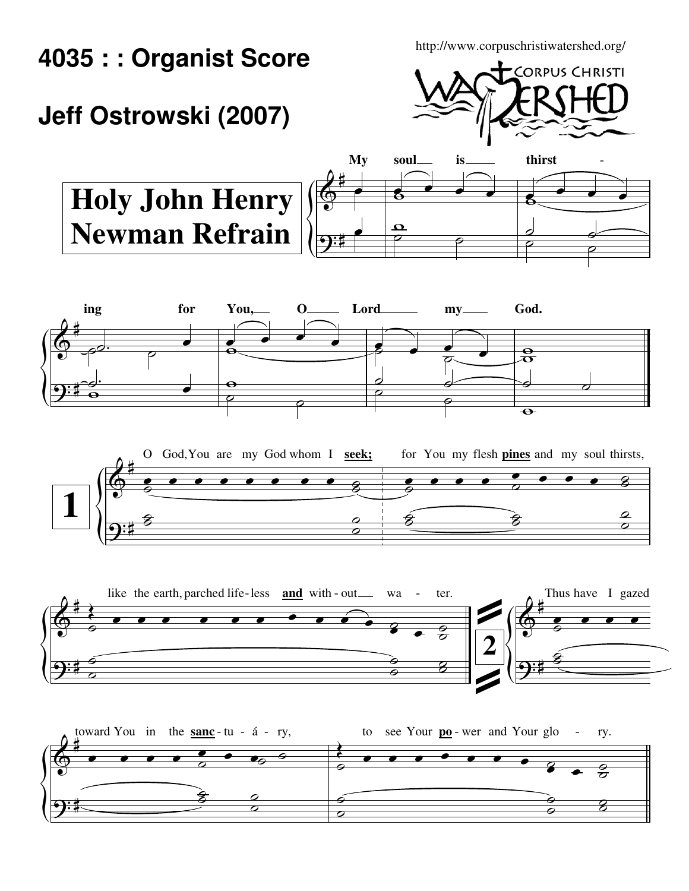**4035 : : Organist Score**

http://www.corpuschristiwatershed.org/

## **Jeff Ostrowski (2007)**